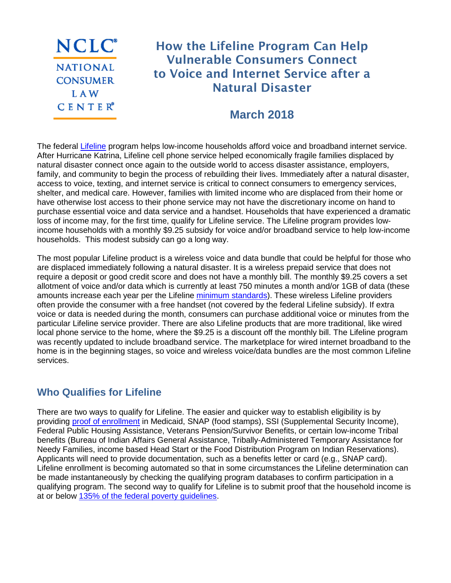NCLC<sup>®</sup> **NATIONAL CONSUMER LAW**  $C$  E N T E  $R^e$ 

# How the Lifeline Program Can Help Vulnerable Consumers Connect to Voice and Internet Service after a Natural Disaster

## **March 2018**

The federal [Lifeline](https://www.usac.org/li/) program helps low-income households afford voice and broadband internet service. After Hurricane Katrina, Lifeline cell phone service helped economically fragile families displaced by natural disaster connect once again to the outside world to access disaster assistance, employers, family, and community to begin the process of rebuilding their lives. Immediately after a natural disaster, access to voice, texting, and internet service is critical to connect consumers to emergency services, shelter, and medical care. However, families with limited income who are displaced from their home or have otherwise lost access to their phone service may not have the discretionary income on hand to purchase essential voice and data service and a handset. Households that have experienced a dramatic loss of income may, for the first time, qualify for Lifeline service. The Lifeline program provides lowincome households with a monthly \$9.25 subsidy for voice and/or broadband service to help low-income households. This modest subsidy can go a long way.

The most popular Lifeline product is a wireless voice and data bundle that could be helpful for those who are displaced immediately following a natural disaster. It is a wireless prepaid service that does not require a deposit or good credit score and does not have a monthly bill. The monthly \$9.25 covers a set allotment of voice and/or data which is currently at least 750 minutes a month and/or 1GB of data (these amounts increase each year per the Lifeline [minimum standards\)](https://www.usac.org/li/program-requirements/lifeline-broadband.aspx#minimum). These wireless Lifeline providers often provide the consumer with a free handset (not covered by the federal Lifeline subsidy). If extra voice or data is needed during the month, consumers can purchase additional voice or minutes from the particular Lifeline service provider. There are also Lifeline products that are more traditional, like wired local phone service to the home, where the \$9.25 is a discount off the monthly bill. The Lifeline program was recently updated to include broadband service. The marketplace for wired internet broadband to the home is in the beginning stages, so voice and wireless voice/data bundles are the most common Lifeline services.

#### **Who Qualifies for Lifeline**

There are two ways to qualify for Lifeline. The easier and quicker way to establish eligibility is by providing [proof of enrollment](https://www.lifelinesupport.org/ls/do-i-qualify/how-to-prove-participation.aspx) in Medicaid, SNAP (food stamps), SSI (Supplemental Security Income), Federal Public Housing Assistance, Veterans Pension/Survivor Benefits, or certain low-income Tribal benefits (Bureau of Indian Affairs General Assistance, Tribally-Administered Temporary Assistance for Needy Families, income based Head Start or the Food Distribution Program on Indian Reservations). Applicants will need to provide documentation, such as a benefits letter or card (e.g., SNAP card). Lifeline enrollment is becoming automated so that in some circumstances the Lifeline determination can be made instantaneously by checking the qualifying program databases to confirm participation in a qualifying program. The second way to qualify for Lifeline is to submit proof that the household income is at or below [135% of the federal poverty guidelines.](https://www.lifelinesupport.org/ls/do-i-qualify/federal-poverty-guidelines.aspx)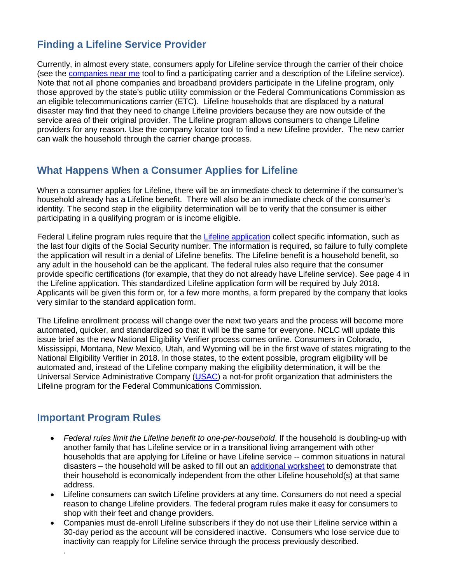## **Finding a Lifeline Service Provider**

Currently, in almost every state, consumers apply for Lifeline service through the carrier of their choice (see the [companies near me](https://data.usac.org/publicreports/CompaniesNearMe/Download/Report) tool to find a participating carrier and a description of the Lifeline service). Note that not all phone companies and broadband providers participate in the Lifeline program, only those approved by the state's public utility commission or the Federal Communications Commission as an eligible telecommunications carrier (ETC). Lifeline households that are displaced by a natural disaster may find that they need to change Lifeline providers because they are now outside of the service area of their original provider. The Lifeline program allows consumers to change Lifeline providers for any reason. Use the company locator tool to find a new Lifeline provider. The new carrier can walk the household through the carrier change process.

#### **What Happens When a Consumer Applies for Lifeline**

When a consumer applies for Lifeline, there will be an immediate check to determine if the consumer's household already has a Lifeline benefit. There will also be an immediate check of the consumer's identity. The second step in the eligibility determination will be to verify that the consumer is either participating in a qualifying program or is income eligible.

Federal Lifeline program rules require that the [Lifeline application](https://www.usac.org/_res/documents/li/pdf/nv/LI_Application_UniversalForm.pdf) collect specific information, such as the last four digits of the Social Security number. The information is required, so failure to fully complete the application will result in a denial of Lifeline benefits. The Lifeline benefit is a household benefit, so any adult in the household can be the applicant. The federal rules also require that the consumer provide specific certifications (for example, that they do not already have Lifeline service). See page 4 in the Lifeline application. This standardized Lifeline application form will be required by July 2018. Applicants will be given this form or, for a few more months, a form prepared by the company that looks very similar to the standard application form.

The Lifeline enrollment process will change over the next two years and the process will become more automated, quicker, and standardized so that it will be the same for everyone. NCLC will update this issue brief as the new National Eligibility Verifier process comes online. Consumers in Colorado, Mississippi, Montana, New Mexico, Utah, and Wyoming will be in the first wave of states migrating to the National Eligibility Verifier in 2018. In those states, to the extent possible, program eligibility will be automated and, instead of the Lifeline company making the eligibility determination, it will be the Universal Service Administrative Company [\(USAC\)](https://www.usac.org/li/default.aspx) a not-for profit organization that administers the Lifeline program for the Federal Communications Commission.

#### **Important Program Rules**

.

- *Federal rules limit the Lifeline benefit to one-per-household*. If the household is doubling-up with another family that has Lifeline service or in a transitional living arrangement with other households that are applying for Lifeline or have Lifeline service -- common situations in natural disasters – the household will be asked to fill out an [additional worksheet](https://www.usac.org/_res/documents/li/pdf/nv/LI_Worksheet_UniversalForms.pdf) to demonstrate that their household is economically independent from the other Lifeline household(s) at that same address.
- Lifeline consumers can switch Lifeline providers at any time. Consumers do not need a special reason to change Lifeline providers. The federal program rules make it easy for consumers to shop with their feet and change providers.
- Companies must de-enroll Lifeline subscribers if they do not use their Lifeline service within a 30-day period as the account will be considered inactive. Consumers who lose service due to inactivity can reapply for Lifeline service through the process previously described.